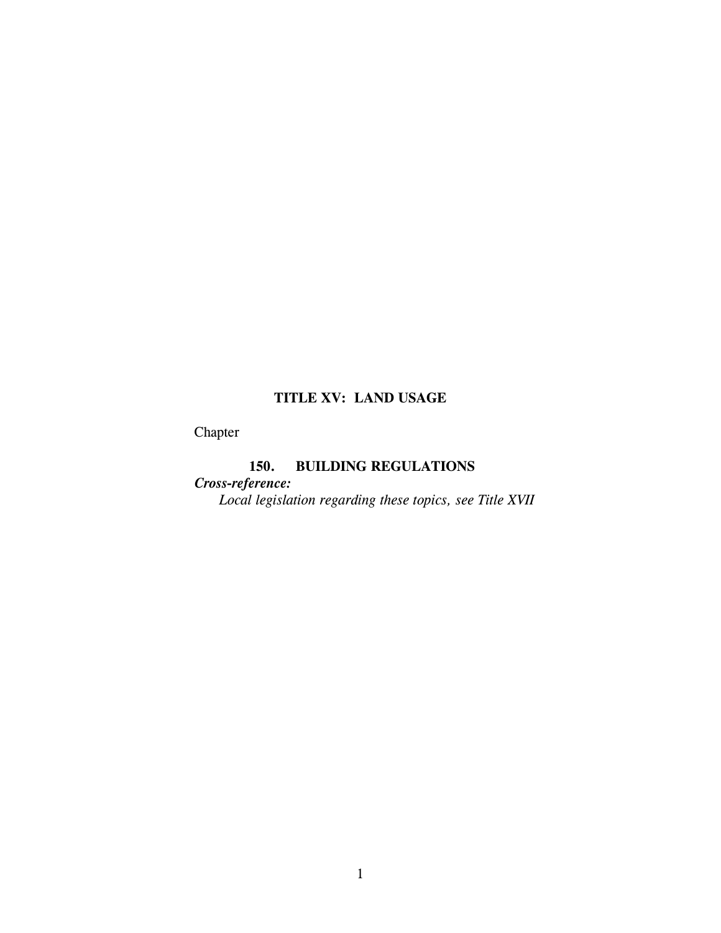# **TITLE XV: LAND USAGE**

Chapter

# **150. BUILDING REGULATIONS**

*Cross-reference: Local legislation regarding these topics, see Title XVII*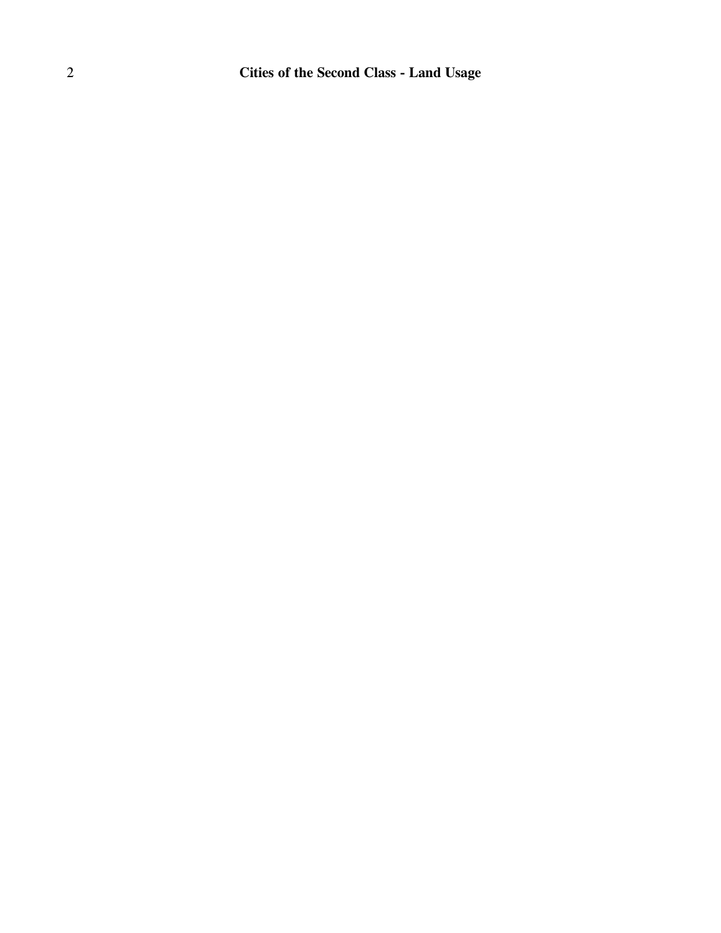**Cities of the Second Class - Land Usage**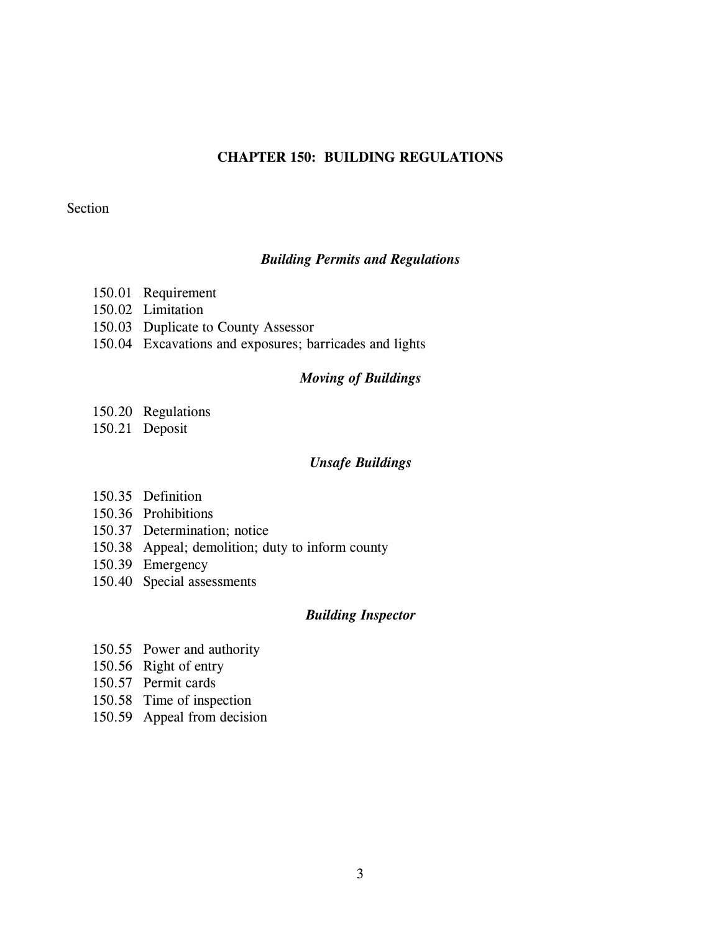# **CHAPTER 150: BUILDING REGULATIONS**

# Section

# *Building Permits and Regulations*

- 150.01 Requirement
- 150.02 Limitation
- 150.03 Duplicate to County Assessor
- 150.04 Excavations and exposures; barricades and lights

# *Moving of Buildings*

- 150.20 Regulations
- 150.21 Deposit

## *Unsafe Buildings*

- 150.35 Definition
- 150.36 Prohibitions
- 150.37 Determination; notice
- 150.38 Appeal; demolition; duty to inform county
- 150.39 Emergency
- 150.40 Special assessments

#### *Building Inspector*

- 150.55 Power and authority
- 150.56 Right of entry
- 150.57 Permit cards
- 150.58 Time of inspection
- 150.59 Appeal from decision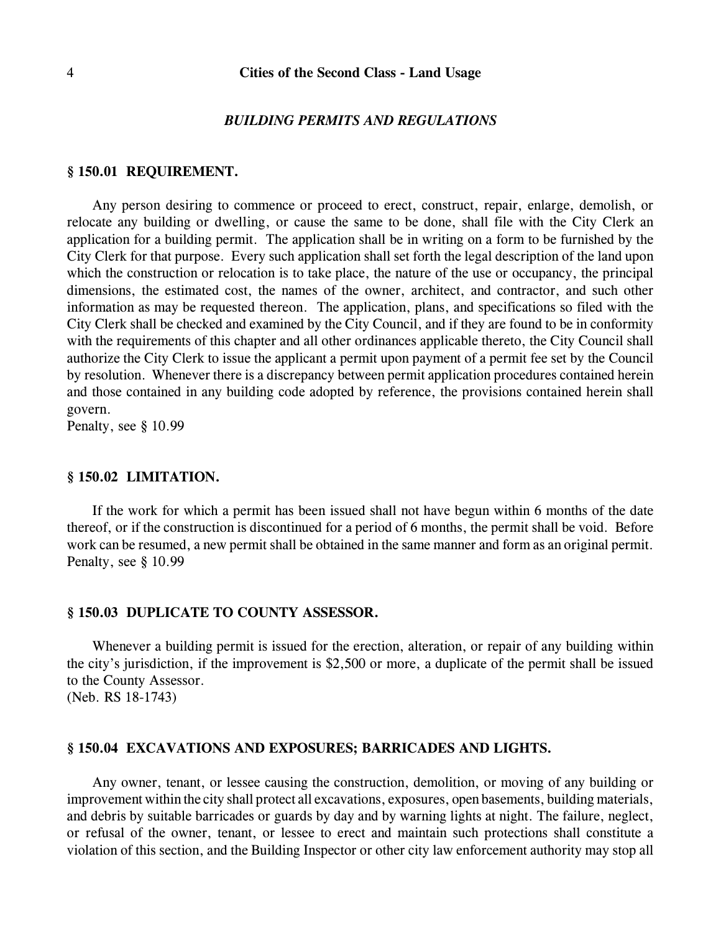#### *BUILDING PERMITS AND REGULATIONS*

## **§ 150.01 REQUIREMENT.**

Any person desiring to commence or proceed to erect, construct, repair, enlarge, demolish, or relocate any building or dwelling, or cause the same to be done, shall file with the City Clerk an application for a building permit. The application shall be in writing on a form to be furnished by the City Clerk for that purpose. Every such application shall set forth the legal description of the land upon which the construction or relocation is to take place, the nature of the use or occupancy, the principal dimensions, the estimated cost, the names of the owner, architect, and contractor, and such other information as may be requested thereon. The application, plans, and specifications so filed with the City Clerk shall be checked and examined by the City Council, and if they are found to be in conformity with the requirements of this chapter and all other ordinances applicable thereto, the City Council shall authorize the City Clerk to issue the applicant a permit upon payment of a permit fee set by the Council by resolution. Whenever there is a discrepancy between permit application procedures contained herein and those contained in any building code adopted by reference, the provisions contained herein shall govern.

Penalty, see § 10.99

## **§ 150.02 LIMITATION.**

If the work for which a permit has been issued shall not have begun within 6 months of the date thereof, or if the construction is discontinued for a period of 6 months, the permit shall be void. Before work can be resumed, a new permit shall be obtained in the same manner and form as an original permit. Penalty, see § 10.99

#### **§ 150.03 DUPLICATE TO COUNTY ASSESSOR.**

Whenever a building permit is issued for the erection, alteration, or repair of any building within the city's jurisdiction, if the improvement is \$2,500 or more, a duplicate of the permit shall be issued to the County Assessor. (Neb. RS 18-1743)

#### **§ 150.04 EXCAVATIONS AND EXPOSURES; BARRICADES AND LIGHTS.**

Any owner, tenant, or lessee causing the construction, demolition, or moving of any building or improvement within the city shall protect all excavations, exposures, open basements, building materials, and debris by suitable barricades or guards by day and by warning lights at night. The failure, neglect, or refusal of the owner, tenant, or lessee to erect and maintain such protections shall constitute a violation of this section, and the Building Inspector or other city law enforcement authority may stop all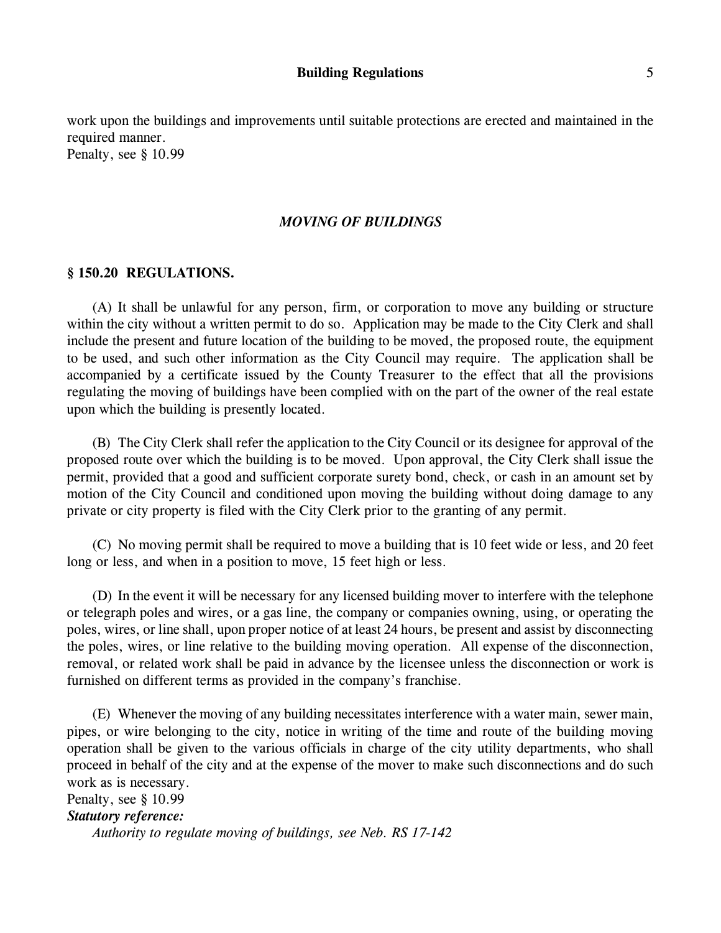work upon the buildings and improvements until suitable protections are erected and maintained in the required manner.

Penalty, see § 10.99

# *MOVING OF BUILDINGS*

# **§ 150.20 REGULATIONS.**

(A) It shall be unlawful for any person, firm, or corporation to move any building or structure within the city without a written permit to do so. Application may be made to the City Clerk and shall include the present and future location of the building to be moved, the proposed route, the equipment to be used, and such other information as the City Council may require. The application shall be accompanied by a certificate issued by the County Treasurer to the effect that all the provisions regulating the moving of buildings have been complied with on the part of the owner of the real estate upon which the building is presently located.

(B) The City Clerk shall refer the application to the City Council or its designee for approval of the proposed route over which the building is to be moved. Upon approval, the City Clerk shall issue the permit, provided that a good and sufficient corporate surety bond, check, or cash in an amount set by motion of the City Council and conditioned upon moving the building without doing damage to any private or city property is filed with the City Clerk prior to the granting of any permit.

(C) No moving permit shall be required to move a building that is 10 feet wide or less, and 20 feet long or less, and when in a position to move, 15 feet high or less.

(D) In the event it will be necessary for any licensed building mover to interfere with the telephone or telegraph poles and wires, or a gas line, the company or companies owning, using, or operating the poles, wires, or line shall, upon proper notice of at least 24 hours, be present and assist by disconnecting the poles, wires, or line relative to the building moving operation. All expense of the disconnection, removal, or related work shall be paid in advance by the licensee unless the disconnection or work is furnished on different terms as provided in the company's franchise.

(E) Whenever the moving of any building necessitates interference with a water main, sewer main, pipes, or wire belonging to the city, notice in writing of the time and route of the building moving operation shall be given to the various officials in charge of the city utility departments, who shall proceed in behalf of the city and at the expense of the mover to make such disconnections and do such work as is necessary.

Penalty, see § 10.99 *Statutory reference: Authority to regulate moving of buildings, see Neb. RS 17-142*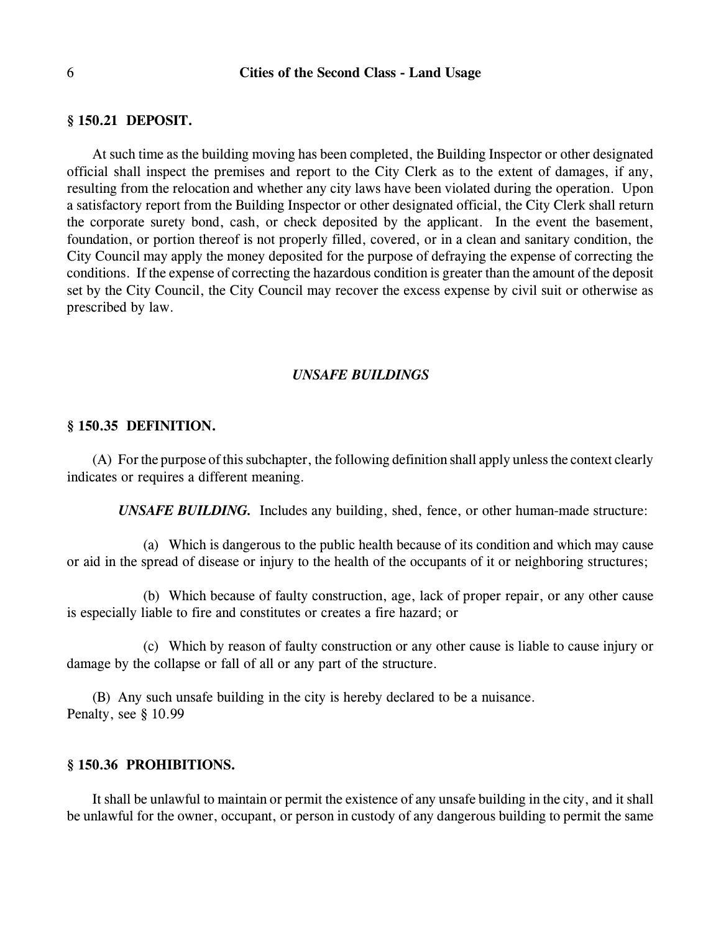#### **§ 150.21 DEPOSIT.**

At such time as the building moving has been completed, the Building Inspector or other designated official shall inspect the premises and report to the City Clerk as to the extent of damages, if any, resulting from the relocation and whether any city laws have been violated during the operation. Upon a satisfactory report from the Building Inspector or other designated official, the City Clerk shall return the corporate surety bond, cash, or check deposited by the applicant. In the event the basement, foundation, or portion thereof is not properly filled, covered, or in a clean and sanitary condition, the City Council may apply the money deposited for the purpose of defraying the expense of correcting the conditions. If the expense of correcting the hazardous condition is greater than the amount of the deposit set by the City Council, the City Council may recover the excess expense by civil suit or otherwise as prescribed by law.

# *UNSAFE BUILDINGS*

#### **§ 150.35 DEFINITION.**

(A) For the purpose of this subchapter, the following definition shall apply unless the context clearly indicates or requires a different meaning.

*UNSAFE BUILDING.* Includes any building, shed, fence, or other human-made structure:

(a) Which is dangerous to the public health because of its condition and which may cause or aid in the spread of disease or injury to the health of the occupants of it or neighboring structures;

(b) Which because of faulty construction, age, lack of proper repair, or any other cause is especially liable to fire and constitutes or creates a fire hazard; or

(c) Which by reason of faulty construction or any other cause is liable to cause injury or damage by the collapse or fall of all or any part of the structure.

(B) Any such unsafe building in the city is hereby declared to be a nuisance. Penalty, see § 10.99

# **§ 150.36 PROHIBITIONS.**

It shall be unlawful to maintain or permit the existence of any unsafe building in the city, and it shall be unlawful for the owner, occupant, or person in custody of any dangerous building to permit the same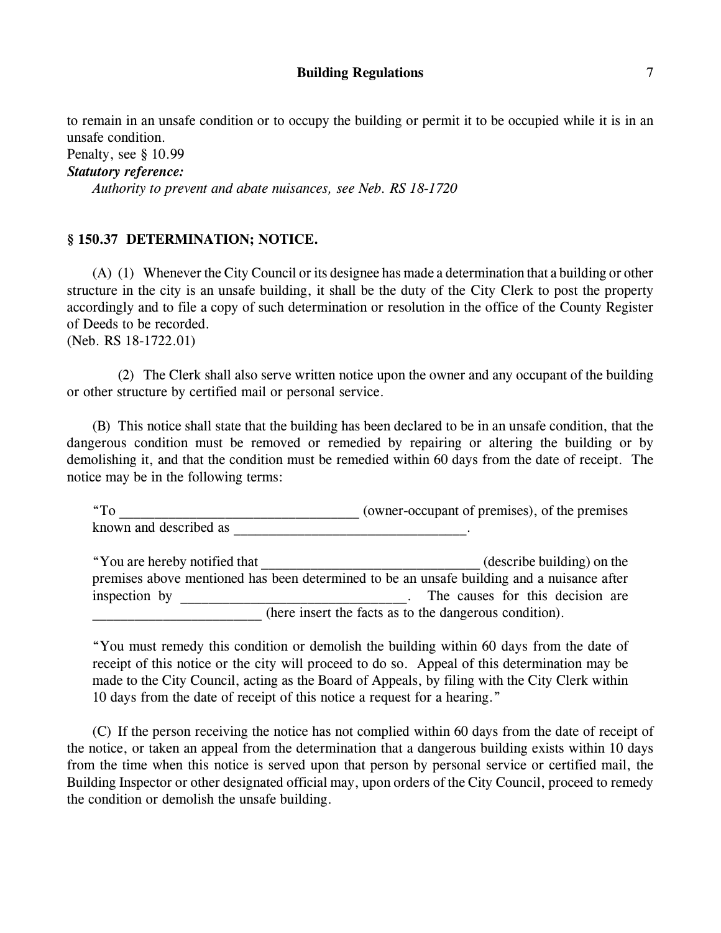to remain in an unsafe condition or to occupy the building or permit it to be occupied while it is in an unsafe condition.

Penalty, see § 10.99 *Statutory reference:*

*Authority to prevent and abate nuisances, see Neb. RS 18-1720*

# **§ 150.37 DETERMINATION; NOTICE.**

(A) (1) Whenever the City Council or its designee has made a determination that a building or other structure in the city is an unsafe building, it shall be the duty of the City Clerk to post the property accordingly and to file a copy of such determination or resolution in the office of the County Register of Deeds to be recorded.

(Neb. RS 18-1722.01)

(2) The Clerk shall also serve written notice upon the owner and any occupant of the building or other structure by certified mail or personal service.

(B) This notice shall state that the building has been declared to be in an unsafe condition, that the dangerous condition must be removed or remedied by repairing or altering the building or by demolishing it, and that the condition must be remedied within 60 days from the date of receipt. The notice may be in the following terms:

"To \_\_\_\_\_\_\_\_\_\_\_\_\_\_\_\_\_\_\_\_\_\_\_\_\_\_\_\_\_\_\_\_\_\_ (owner-occupant of premises), of the premises known and described as \_\_\_\_\_\_\_\_\_\_\_\_\_\_\_\_\_\_\_\_\_\_\_\_\_\_\_\_\_\_\_\_\_.

| "You are hereby notified that | (describe building) on the                                                                 |
|-------------------------------|--------------------------------------------------------------------------------------------|
|                               | premises above mentioned has been determined to be an unsafe building and a nuisance after |
| inspection by                 | The causes for this decision are                                                           |
|                               | (here insert the facts as to the dangerous condition).                                     |

"You must remedy this condition or demolish the building within 60 days from the date of receipt of this notice or the city will proceed to do so. Appeal of this determination may be made to the City Council, acting as the Board of Appeals, by filing with the City Clerk within 10 days from the date of receipt of this notice a request for a hearing."

(C) If the person receiving the notice has not complied within 60 days from the date of receipt of the notice, or taken an appeal from the determination that a dangerous building exists within 10 days from the time when this notice is served upon that person by personal service or certified mail, the Building Inspector or other designated official may, upon orders of the City Council, proceed to remedy the condition or demolish the unsafe building.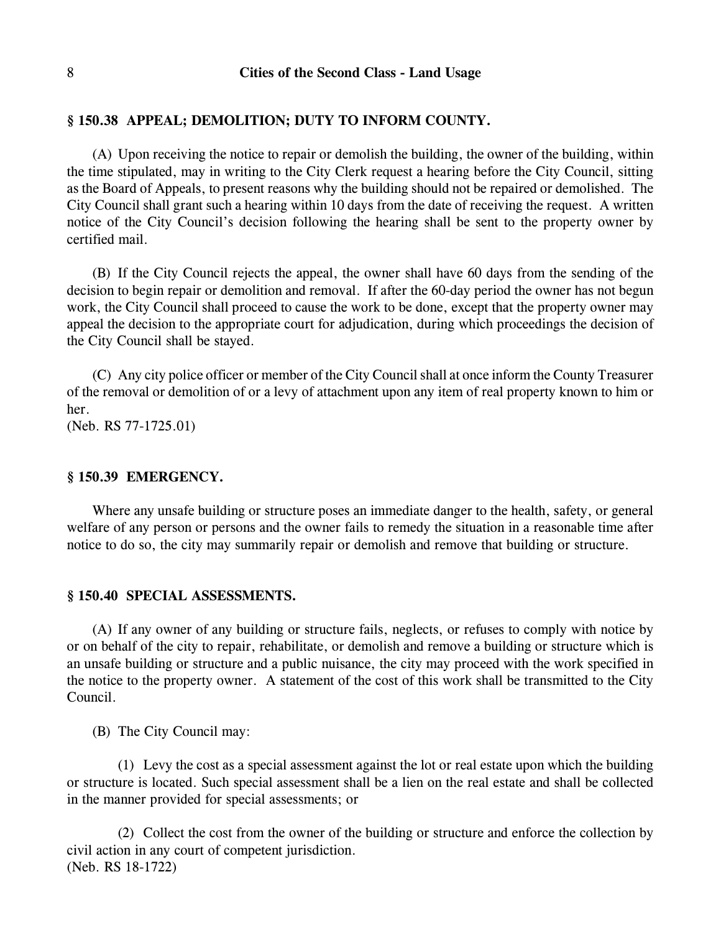# **§ 150.38 APPEAL; DEMOLITION; DUTY TO INFORM COUNTY.**

(A) Upon receiving the notice to repair or demolish the building, the owner of the building, within the time stipulated, may in writing to the City Clerk request a hearing before the City Council, sitting as the Board of Appeals, to present reasons why the building should not be repaired or demolished. The City Council shall grant such a hearing within 10 days from the date of receiving the request. A written notice of the City Council's decision following the hearing shall be sent to the property owner by certified mail.

(B) If the City Council rejects the appeal, the owner shall have 60 days from the sending of the decision to begin repair or demolition and removal. If after the 60-day period the owner has not begun work, the City Council shall proceed to cause the work to be done, except that the property owner may appeal the decision to the appropriate court for adjudication, during which proceedings the decision of the City Council shall be stayed.

(C) Any city police officer or member of the City Council shall at once inform the County Treasurer of the removal or demolition of or a levy of attachment upon any item of real property known to him or her.

(Neb. RS 77-1725.01)

# **§ 150.39 EMERGENCY.**

Where any unsafe building or structure poses an immediate danger to the health, safety, or general welfare of any person or persons and the owner fails to remedy the situation in a reasonable time after notice to do so, the city may summarily repair or demolish and remove that building or structure.

# **§ 150.40 SPECIAL ASSESSMENTS.**

(A) If any owner of any building or structure fails, neglects, or refuses to comply with notice by or on behalf of the city to repair, rehabilitate, or demolish and remove a building or structure which is an unsafe building or structure and a public nuisance, the city may proceed with the work specified in the notice to the property owner. A statement of the cost of this work shall be transmitted to the City Council.

(B) The City Council may:

(1) Levy the cost as a special assessment against the lot or real estate upon which the building or structure is located. Such special assessment shall be a lien on the real estate and shall be collected in the manner provided for special assessments; or

(2) Collect the cost from the owner of the building or structure and enforce the collection by civil action in any court of competent jurisdiction. (Neb. RS 18-1722)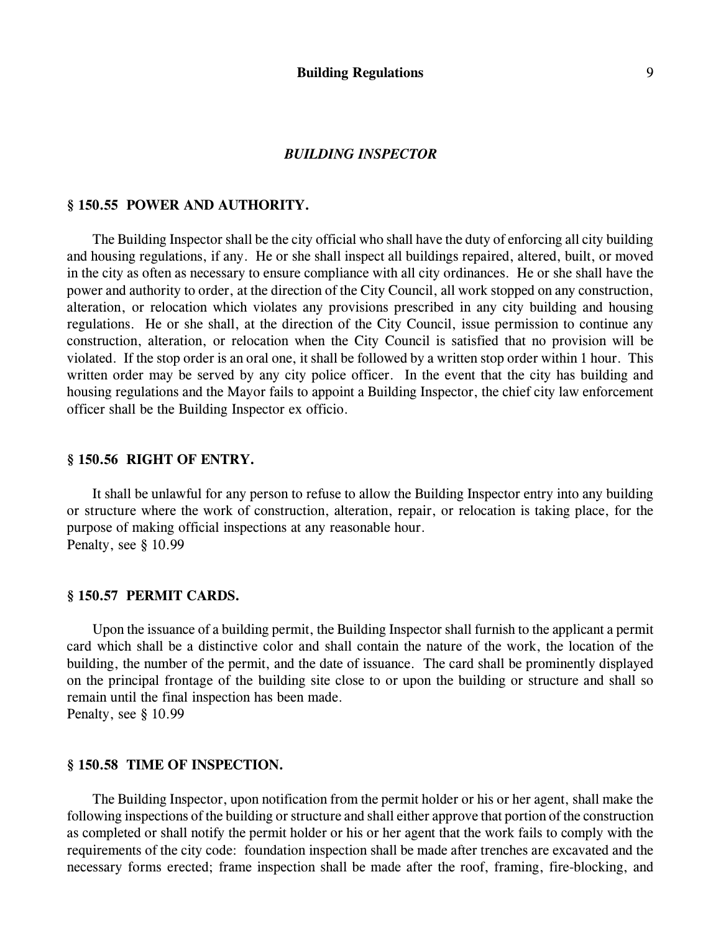# *BUILDING INSPECTOR*

#### **§ 150.55 POWER AND AUTHORITY.**

The Building Inspector shall be the city official who shall have the duty of enforcing all city building and housing regulations, if any. He or she shall inspect all buildings repaired, altered, built, or moved in the city as often as necessary to ensure compliance with all city ordinances. He or she shall have the power and authority to order, at the direction of the City Council, all work stopped on any construction, alteration, or relocation which violates any provisions prescribed in any city building and housing regulations. He or she shall, at the direction of the City Council, issue permission to continue any construction, alteration, or relocation when the City Council is satisfied that no provision will be violated. If the stop order is an oral one, it shall be followed by a written stop order within 1 hour. This written order may be served by any city police officer. In the event that the city has building and housing regulations and the Mayor fails to appoint a Building Inspector, the chief city law enforcement officer shall be the Building Inspector ex officio.

### **§ 150.56 RIGHT OF ENTRY.**

It shall be unlawful for any person to refuse to allow the Building Inspector entry into any building or structure where the work of construction, alteration, repair, or relocation is taking place, for the purpose of making official inspections at any reasonable hour. Penalty, see § 10.99

## **§ 150.57 PERMIT CARDS.**

Upon the issuance of a building permit, the Building Inspector shall furnish to the applicant a permit card which shall be a distinctive color and shall contain the nature of the work, the location of the building, the number of the permit, and the date of issuance. The card shall be prominently displayed on the principal frontage of the building site close to or upon the building or structure and shall so remain until the final inspection has been made. Penalty, see § 10.99

#### **§ 150.58 TIME OF INSPECTION.**

The Building Inspector, upon notification from the permit holder or his or her agent, shall make the following inspections of the building or structure and shall either approve that portion of the construction as completed or shall notify the permit holder or his or her agent that the work fails to comply with the requirements of the city code: foundation inspection shall be made after trenches are excavated and the necessary forms erected; frame inspection shall be made after the roof, framing, fire-blocking, and